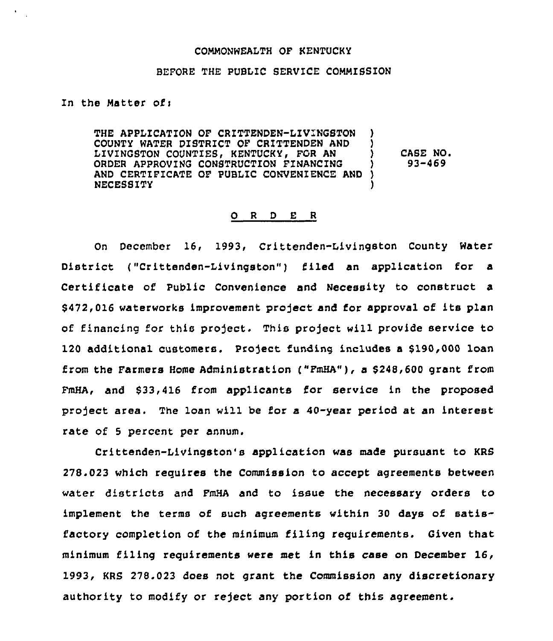## COMMONWEALTH OF KENTUCKY

## BEFORE THE PUBLIC SERVICE COMMISSION

In the Matter ofi

THE APPLICATION OF CRITTENDEN-LIVINGSTON COUNTY WATER DISTRICT OF CRITTENDEN AND ( LIVINGSTON COUNTIES, KENTUCKY, FOR AN ORDER APPROVING CONSTRUCTION FINANCING ) AND CERTIFICATE OF PUBLIC CONVENIENCE AND ) NECESSITY ) CASE NO. 93-469

## O R D E R

On December 16, 1993, Crittenden-Livingston County Water District ("Crittenden-Livingston") filed an application for a Certificate of Public Convenience and Necessity to construct a 8472,016 waterworks improvement project and for approval of its plan of financing for this project. This project will provide service to 120 additional customers. Project funding includes a \$190,000 loan from the Farmers Home Administration ("FmHA"), a \$248,600 grant from FmHA, and 833,416 from applicants for service in the proposed project area. The loan will be for a 40-year period at an interest rate of 5 percent per annum,

Crittenden-Livingston's application was made pursuant to KRS 278.023 which requires the Commission to accept agreements between water districts and FmHA and to issue the necessary orders to implement the terms of such agreements within <sup>30</sup> days of satisfactory completion of the minimum filing requirements. Given that minimum filing requirements were met in this case on December 16, 1993, KRS 278.023 does not grant the Commission any discretionary authority to modify or reject any portion of this agreement.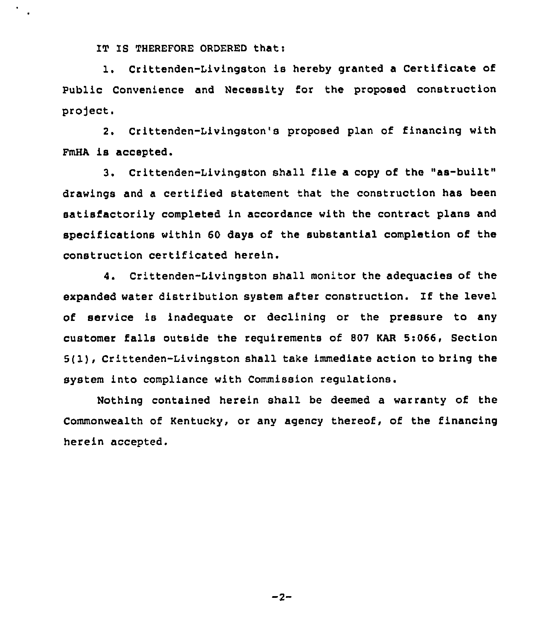IT IS THEREFORE ORDERED that:

1. Crittenden-Livingston is hereby granted <sup>a</sup> Certificate of Public Convenience and Necessity for the proposed construction project.

2. Crittenden-Livingston's proposed plan of financing with FmHA is accepted.

3. Crittenden-Livingston shall file <sup>a</sup> copy of the "as-built" drawings and a certified statement that the construction has been satisfactorily completed in accordance with the contract plans and specifications within 60 days of the substantial completion of the construction certificated herein.

4. Crittenden-Livingston shall monitor the adequacies of the expanded water distribution system after construction. If the level of service is inadequate or declining or the pressure to any customer falls outside the reguirements of 807 KAR 5:066, Section 5(1), Crittenden-Livingston shall take immediate action to bring the system into compliance with Commission regulations.

Nothing contained herein shall be deemed a warranty of the Commonwealth of Kentucky, or any agency thereof, of the financing herein accepted.

 $-2-$